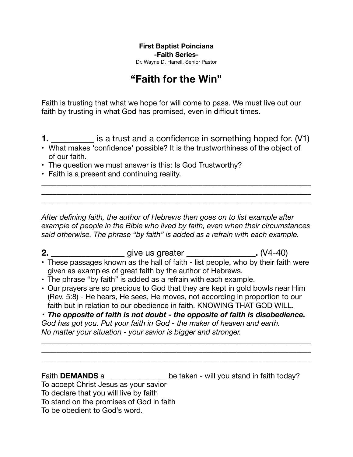**First Baptist Poinciana -Faith Series-**

Dr. Wayne D. Harrell, Senior Pastor

## **"Faith for the Win"**

Faith is trusting that what we hope for will come to pass. We must live out our faith by trusting in what God has promised, even in difficult times.

**1. \_\_\_\_\_\_\_\_\_\_** is a trust and a confidence in something hoped for. (V1)

• What makes 'confidence' possible? It is the trustworthiness of the object of of our faith.

\_\_\_\_\_\_\_\_\_\_\_\_\_\_\_\_\_\_\_\_\_\_\_\_\_\_\_\_\_\_\_\_\_\_\_\_\_\_\_\_\_\_\_\_\_\_\_\_\_\_\_\_\_\_\_\_\_\_\_\_\_\_\_\_\_\_\_\_\_\_\_\_ \_\_\_\_\_\_\_\_\_\_\_\_\_\_\_\_\_\_\_\_\_\_\_\_\_\_\_\_\_\_\_\_\_\_\_\_\_\_\_\_\_\_\_\_\_\_\_\_\_\_\_\_\_\_\_\_\_\_\_\_\_\_\_\_\_\_\_\_\_\_\_\_ \_\_\_\_\_\_\_\_\_\_\_\_\_\_\_\_\_\_\_\_\_\_\_\_\_\_\_\_\_\_\_\_\_\_\_\_\_\_\_\_\_\_\_\_\_\_\_\_\_\_\_\_\_\_\_\_\_\_\_\_\_\_\_\_\_\_\_\_\_\_\_\_

- The question we must answer is this: Is God Trustworthy?
- Faith is a present and continuing reality.

*After defining faith, the author of Hebrews then goes on to list example after example of people in the Bible who lived by faith, even when their circumstances said otherwise. The phrase "by faith" is added as a refrain with each example.* 

**2. \_\_\_\_\_\_\_\_\_\_\_\_\_\_\_\_\_** give us greater **\_\_\_\_\_\_\_\_\_\_\_\_\_\_\_\_.** (V4-40) **•** These passages known as the hall of faith - list people, who by their faith were given as examples of great faith by the author of Hebrews.

- **•** The phrase "by faith" is added as a refrain with each example.
- **•** Our prayers are so precious to God that they are kept in gold bowls near Him (Rev. 5:8) - He hears, He sees, He moves, not according in proportion to our faith but in relation to our obedience in faith. KNOWING THAT GOD WILL.

*• The opposite of faith is not doubt - the opposite of faith is disobedience. God has got you. Put your faith in God - the maker of heaven and earth. No matter your situation - your savior is bigger and stronger.* 

\_\_\_\_\_\_\_\_\_\_\_\_\_\_\_\_\_\_\_\_\_\_\_\_\_\_\_\_\_\_\_\_\_\_\_\_\_\_\_\_\_\_\_\_\_\_\_\_\_\_\_\_\_\_\_\_\_\_\_\_\_\_\_\_\_\_\_\_\_\_\_\_ \_\_\_\_\_\_\_\_\_\_\_\_\_\_\_\_\_\_\_\_\_\_\_\_\_\_\_\_\_\_\_\_\_\_\_\_\_\_\_\_\_\_\_\_\_\_\_\_\_\_\_\_\_\_\_\_\_\_\_\_\_\_\_\_\_\_\_\_\_\_\_\_ \_\_\_\_\_\_\_\_\_\_\_\_\_\_\_\_\_\_\_\_\_\_\_\_\_\_\_\_\_\_\_\_\_\_\_\_\_\_\_\_\_\_\_\_\_\_\_\_\_\_\_\_\_\_\_\_\_\_\_\_\_\_\_\_\_\_\_\_\_\_\_\_

Faith **DEMANDS** a *\_\_\_\_\_\_\_\_\_\_\_\_\_\_\_\_\_* be taken - will you stand in faith today?

To accept Christ Jesus as your savior

To declare that you will live by faith

To stand on the promises of God in faith

To be obedient to God's word.